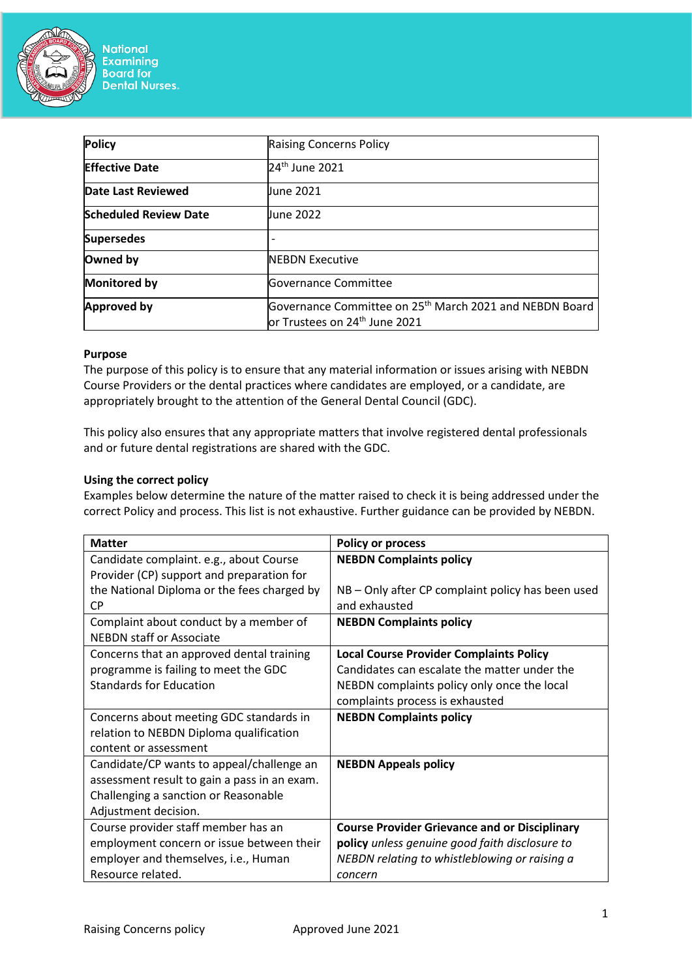

| <b>Policy</b>                | <b>Raising Concerns Policy</b>                                                                                        |  |
|------------------------------|-----------------------------------------------------------------------------------------------------------------------|--|
| <b>Effective Date</b>        | 24 <sup>th</sup> June 2021                                                                                            |  |
| Date Last Reviewed           | June 2021                                                                                                             |  |
| <b>Scheduled Review Date</b> | June 2022                                                                                                             |  |
| <b>Supersedes</b>            |                                                                                                                       |  |
| Owned by                     | <b>INEBDN Executive</b>                                                                                               |  |
| <b>Monitored by</b>          | Governance Committee                                                                                                  |  |
| <b>Approved by</b>           | Governance Committee on 25 <sup>th</sup> March 2021 and NEBDN Board<br>$\,$ or Trustees on 24 <sup>th</sup> June 2021 |  |

### **Purpose**

The purpose of this policy is to ensure that any material information or issues arising with NEBDN Course Providers or the dental practices where candidates are employed, or a candidate, are appropriately brought to the attention of the General Dental Council (GDC).

This policy also ensures that any appropriate matters that involve registered dental professionals and or future dental registrations are shared with the GDC.

#### **Using the correct policy**

Examples below determine the nature of the matter raised to check it is being addressed under the correct Policy and process. This list is not exhaustive. Further guidance can be provided by NEBDN.

| <b>Matter</b>                                | <b>Policy or process</b>                             |
|----------------------------------------------|------------------------------------------------------|
| Candidate complaint. e.g., about Course      | <b>NEBDN Complaints policy</b>                       |
| Provider (CP) support and preparation for    |                                                      |
| the National Diploma or the fees charged by  | NB – Only after CP complaint policy has been used    |
| СP                                           | and exhausted                                        |
| Complaint about conduct by a member of       | <b>NEBDN Complaints policy</b>                       |
| <b>NEBDN staff or Associate</b>              |                                                      |
| Concerns that an approved dental training    | <b>Local Course Provider Complaints Policy</b>       |
| programme is failing to meet the GDC         | Candidates can escalate the matter under the         |
| <b>Standards for Education</b>               | NEBDN complaints policy only once the local          |
|                                              | complaints process is exhausted                      |
| Concerns about meeting GDC standards in      | <b>NEBDN Complaints policy</b>                       |
| relation to NEBDN Diploma qualification      |                                                      |
| content or assessment                        |                                                      |
| Candidate/CP wants to appeal/challenge an    | <b>NEBDN Appeals policy</b>                          |
| assessment result to gain a pass in an exam. |                                                      |
| Challenging a sanction or Reasonable         |                                                      |
| Adjustment decision.                         |                                                      |
| Course provider staff member has an          | <b>Course Provider Grievance and or Disciplinary</b> |
| employment concern or issue between their    | policy unless genuine good faith disclosure to       |
| employer and themselves, i.e., Human         | NEBDN relating to whistleblowing or raising a        |
| Resource related.                            | concern                                              |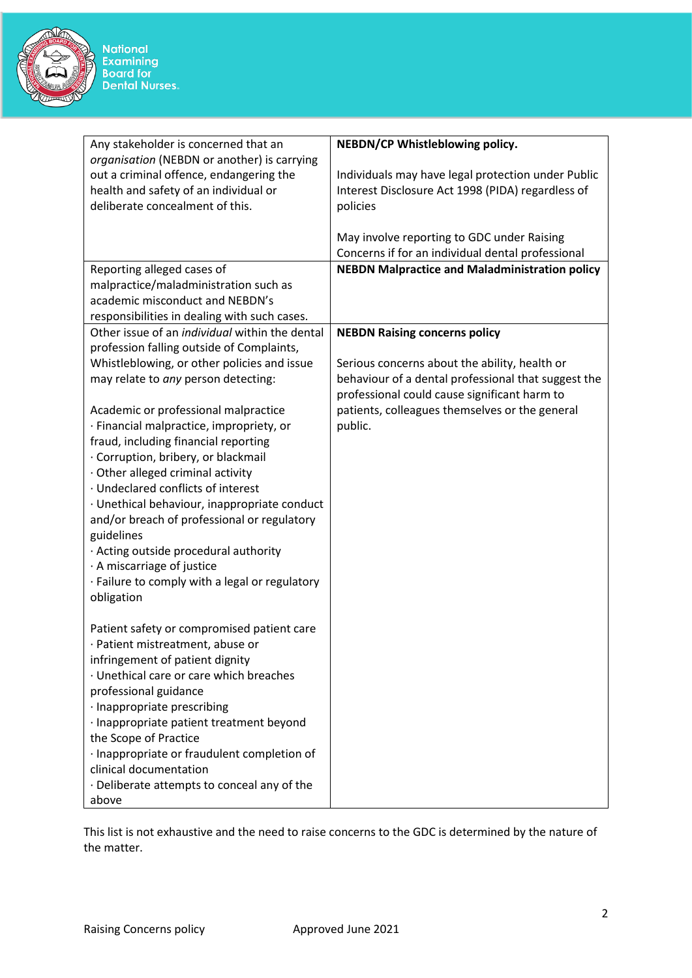

| Any stakeholder is concerned that an                  | NEBDN/CP Whistleblowing policy.                       |
|-------------------------------------------------------|-------------------------------------------------------|
| organisation (NEBDN or another) is carrying           |                                                       |
| out a criminal offence, endangering the               | Individuals may have legal protection under Public    |
| health and safety of an individual or                 | Interest Disclosure Act 1998 (PIDA) regardless of     |
| deliberate concealment of this.                       | policies                                              |
|                                                       |                                                       |
|                                                       | May involve reporting to GDC under Raising            |
|                                                       | Concerns if for an individual dental professional     |
| Reporting alleged cases of                            | <b>NEBDN Malpractice and Maladministration policy</b> |
| malpractice/maladministration such as                 |                                                       |
| academic misconduct and NEBDN's                       |                                                       |
| responsibilities in dealing with such cases.          |                                                       |
| Other issue of an <i>individual</i> within the dental | <b>NEBDN Raising concerns policy</b>                  |
| profession falling outside of Complaints,             |                                                       |
| Whistleblowing, or other policies and issue           | Serious concerns about the ability, health or         |
| may relate to any person detecting:                   | behaviour of a dental professional that suggest the   |
|                                                       | professional could cause significant harm to          |
| Academic or professional malpractice                  | patients, colleagues themselves or the general        |
| · Financial malpractice, impropriety, or              | public.                                               |
| fraud, including financial reporting                  |                                                       |
| · Corruption, bribery, or blackmail                   |                                                       |
| · Other alleged criminal activity                     |                                                       |
| · Undeclared conflicts of interest                    |                                                       |
| · Unethical behaviour, inappropriate conduct          |                                                       |
| and/or breach of professional or regulatory           |                                                       |
| guidelines                                            |                                                       |
| · Acting outside procedural authority                 |                                                       |
| · A miscarriage of justice                            |                                                       |
| · Failure to comply with a legal or regulatory        |                                                       |
| obligation                                            |                                                       |
|                                                       |                                                       |
| Patient safety or compromised patient care            |                                                       |
| · Patient mistreatment, abuse or                      |                                                       |
| infringement of patient dignity                       |                                                       |
| · Unethical care or care which breaches               |                                                       |
| professional guidance                                 |                                                       |
|                                                       |                                                       |
| · Inappropriate prescribing                           |                                                       |
| · Inappropriate patient treatment beyond              |                                                       |
| the Scope of Practice                                 |                                                       |
| · Inappropriate or fraudulent completion of           |                                                       |
| clinical documentation                                |                                                       |
| · Deliberate attempts to conceal any of the           |                                                       |
| above                                                 |                                                       |

This list is not exhaustive and the need to raise concerns to the GDC is determined by the nature of the matter.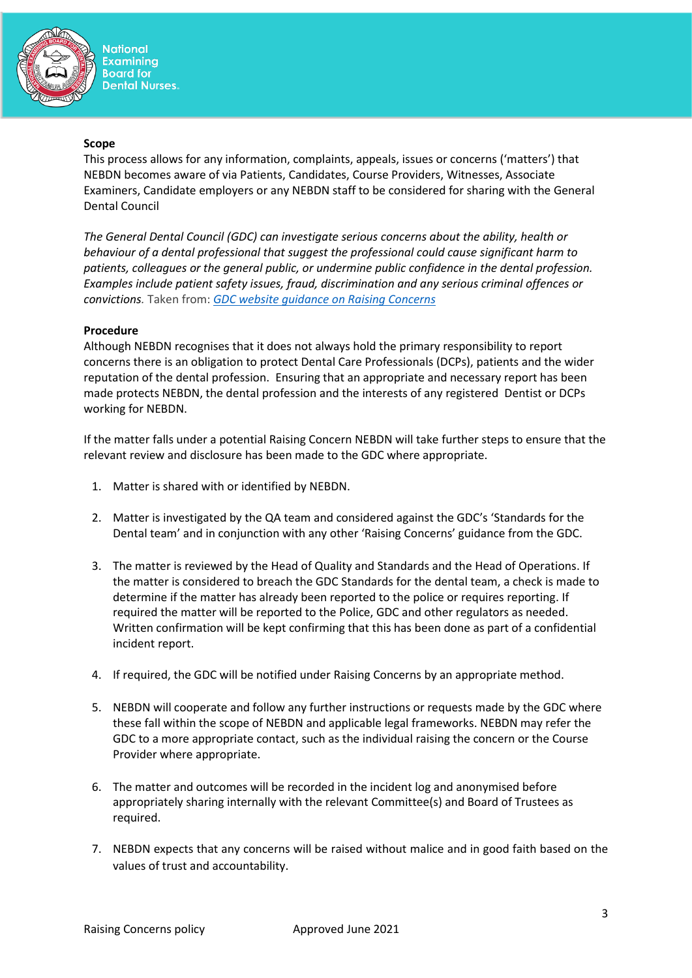

**National Examining Board for Dental Nurses.** 

#### **Scope**

This process allows for any information, complaints, appeals, issues or concerns ('matters') that NEBDN becomes aware of via Patients, Candidates, Course Providers, Witnesses, Associate Examiners, Candidate employers or any NEBDN staff to be considered for sharing with the General Dental Council

*The General Dental Council (GDC) can investigate serious concerns about the ability, health or behaviour of a dental professional that suggest the professional could cause significant harm to patients, colleagues or the general public, or undermine public confidence in the dental profession. Examples include patient safety issues, fraud, discrimination and any serious criminal offences or convictions.* Taken from: *[GDC website guidance on Raising Concerns](https://www.gdc-uk.org/raising-concerns/raising-concerns-about-dental-treatment#:~:text=raise%20a%20concern%3F-,The%20GDC%20can%20look%20into%20serious%20concerns%20about%20the%20ability,that%20suggest%20the%20professional%20could%3A&text=Undermine%20public%20confidence%20in%20the%20dental%20profession.)*

# **Procedure**

Although NEBDN recognises that it does not always hold the primary responsibility to report concerns there is an obligation to protect Dental Care Professionals (DCPs), patients and the wider reputation of the dental profession. Ensuring that an appropriate and necessary report has been made protects NEBDN, the dental profession and the interests of any registered Dentist or DCPs working for NEBDN.

If the matter falls under a potential Raising Concern NEBDN will take further steps to ensure that the relevant review and disclosure has been made to the GDC where appropriate.

- 1. Matter is shared with or identified by NEBDN.
- 2. Matter is investigated by the QA team and considered against the GDC's 'Standards for the Dental team' and in conjunction with any other 'Raising Concerns' guidance from the GDC.
- 3. The matter is reviewed by the Head of Quality and Standards and the Head of Operations. If the matter is considered to breach the GDC Standards for the dental team, a check is made to determine if the matter has already been reported to the police or requires reporting. If required the matter will be reported to the Police, GDC and other regulators as needed. Written confirmation will be kept confirming that this has been done as part of a confidential incident report.
- 4. If required, the GDC will be notified under Raising Concerns by an appropriate method.
- 5. NEBDN will cooperate and follow any further instructions or requests made by the GDC where these fall within the scope of NEBDN and applicable legal frameworks. NEBDN may refer the GDC to a more appropriate contact, such as the individual raising the concern or the Course Provider where appropriate.
- 6. The matter and outcomes will be recorded in the incident log and anonymised before appropriately sharing internally with the relevant Committee(s) and Board of Trustees as required.
- 7. NEBDN expects that any concerns will be raised without malice and in good faith based on the values of trust and accountability.